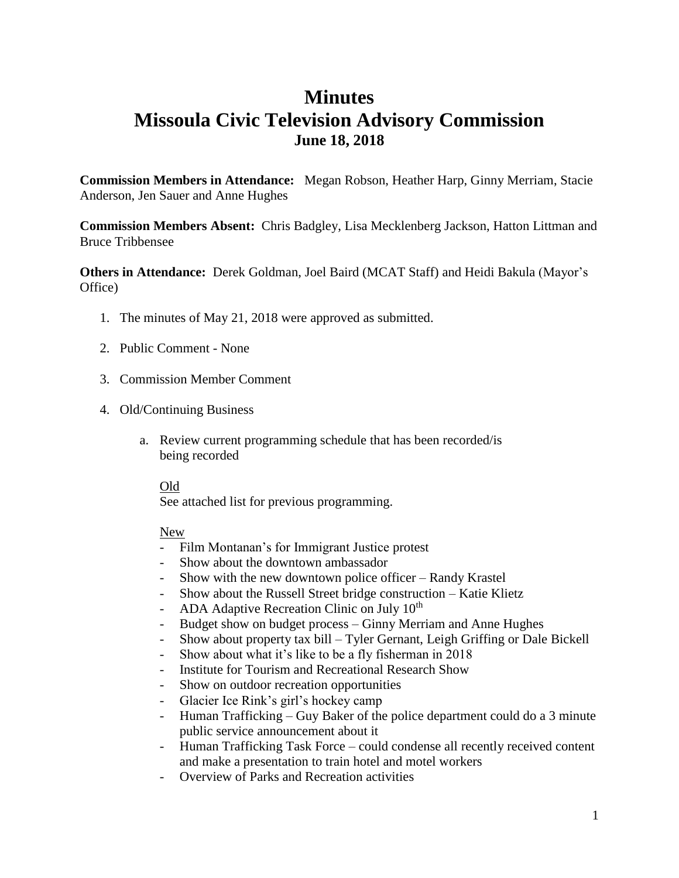# **Minutes Missoula Civic Television Advisory Commission June 18, 2018**

**Commission Members in Attendance:** Megan Robson, Heather Harp, Ginny Merriam, Stacie Anderson, Jen Sauer and Anne Hughes

**Commission Members Absent:** Chris Badgley, Lisa Mecklenberg Jackson, Hatton Littman and Bruce Tribbensee

**Others in Attendance:** Derek Goldman, Joel Baird (MCAT Staff) and Heidi Bakula (Mayor's Office)

- 1. The minutes of May 21, 2018 were approved as submitted.
- 2. Public Comment None
- 3. Commission Member Comment
- 4. Old/Continuing Business
	- a. Review current programming schedule that has been recorded/is being recorded

#### Old

See attached list for previous programming.

### New

- Film Montanan's for Immigrant Justice protest
- Show about the downtown ambassador
- Show with the new downtown police officer Randy Krastel
- Show about the Russell Street bridge construction Katie Klietz
- ADA Adaptive Recreation Clinic on July 10<sup>th</sup>
- Budget show on budget process Ginny Merriam and Anne Hughes
- Show about property tax bill Tyler Gernant, Leigh Griffing or Dale Bickell
- Show about what it's like to be a fly fisherman in 2018
- Institute for Tourism and Recreational Research Show
- Show on outdoor recreation opportunities
- Glacier Ice Rink's girl's hockey camp
- Human Trafficking Guy Baker of the police department could do a 3 minute public service announcement about it
- Human Trafficking Task Force could condense all recently received content and make a presentation to train hotel and motel workers
- Overview of Parks and Recreation activities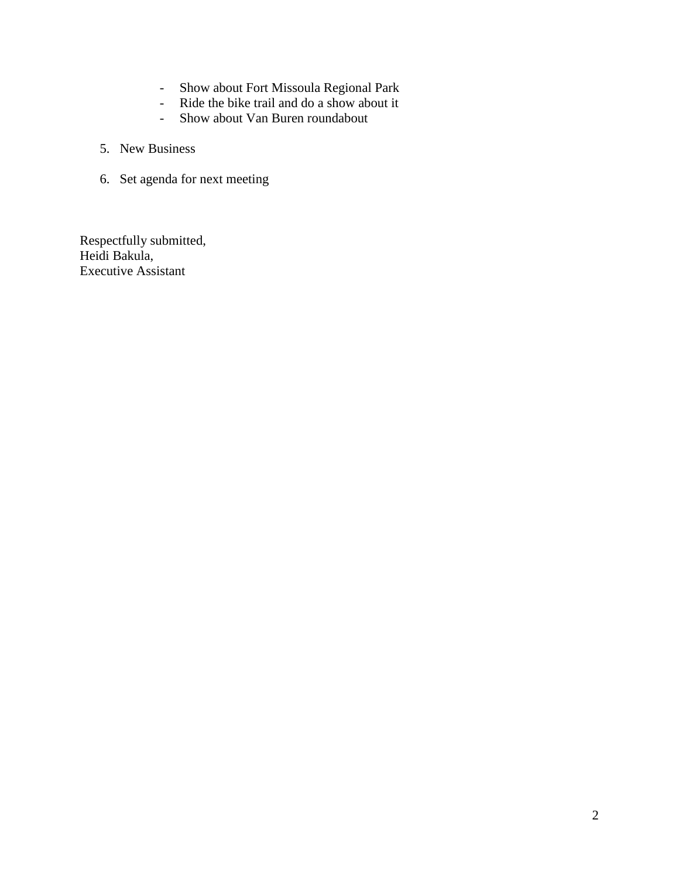- Show about Fort Missoula Regional Park
- Ride the bike trail and do a show about it
- Show about Van Buren roundabout
- 5. New Business
- 6. Set agenda for next meeting

Respectfully submitted, Heidi Bakula, Executive Assistant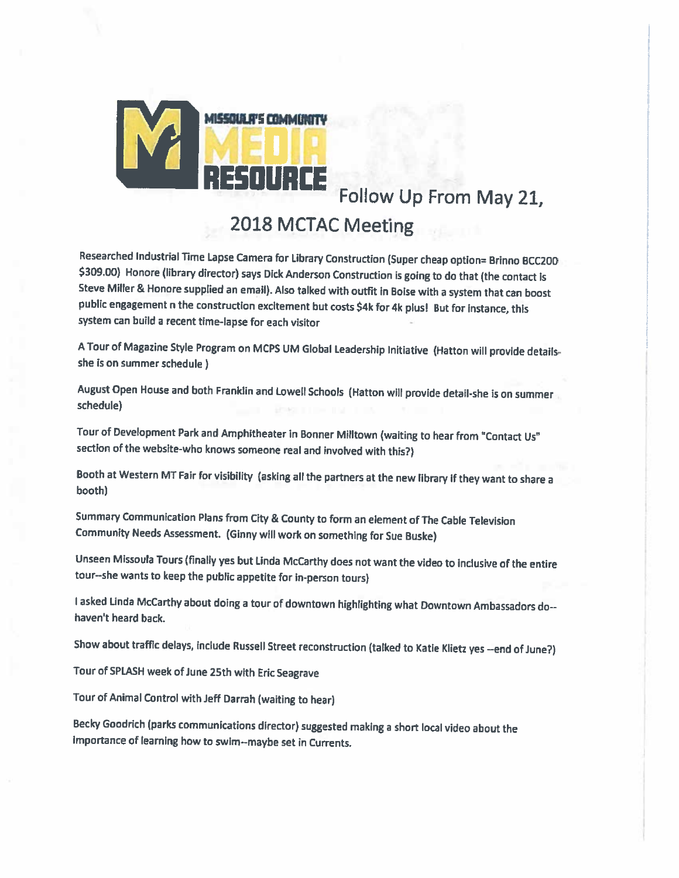

Follow Up From May 21,

# **2018 MCTAC Meeting**

Researched Industrial Time Lapse Camera for Library Construction (Super cheap option= Brinno BCC200 \$309.00) Honore (library director) says Dick Anderson Construction is going to do that (the contact is Steve Miller & Honore supplied an email). Also talked with outfit in Boise with a system that can boost public engagement n the construction excitement but costs \$4k for 4k plus! But for instance, this system can build a recent time-lapse for each visitor

A Tour of Magazine Style Program on MCPS UM Global Leadership Initiative (Hatton will provide detailsshe is on summer schedule )

August Open House and both Franklin and Lowell Schools (Hatton will provide detail-she is on summer schedule)

Tour of Development Park and Amphitheater in Bonner Milltown (waiting to hear from "Contact Us" section of the website-who knows someone real and involved with this?)

Booth at Western MT Fair for visibility (asking all the partners at the new library if they want to share a booth)

Summary Communication Plans from City & County to form an element of The Cable Television Community Needs Assessment. (Ginny will work on something for Sue Buske)

Unseen Missoula Tours (finally yes but Linda McCarthy does not want the video to inclusive of the entire tour--she wants to keep the public appetite for in-person tours)

I asked Linda McCarthy about doing a tour of downtown highlighting what Downtown Ambassadors do-haven't heard back.

Show about traffic delays, include Russell Street reconstruction (talked to Katie Klietz yes -- end of June?)

Tour of SPLASH week of June 25th with Eric Seagrave

Tour of Animal Control with Jeff Darrah (waiting to hear)

Becky Goodrich (parks communications director) suggested making a short local video about the importance of learning how to swim--maybe set in Currents.